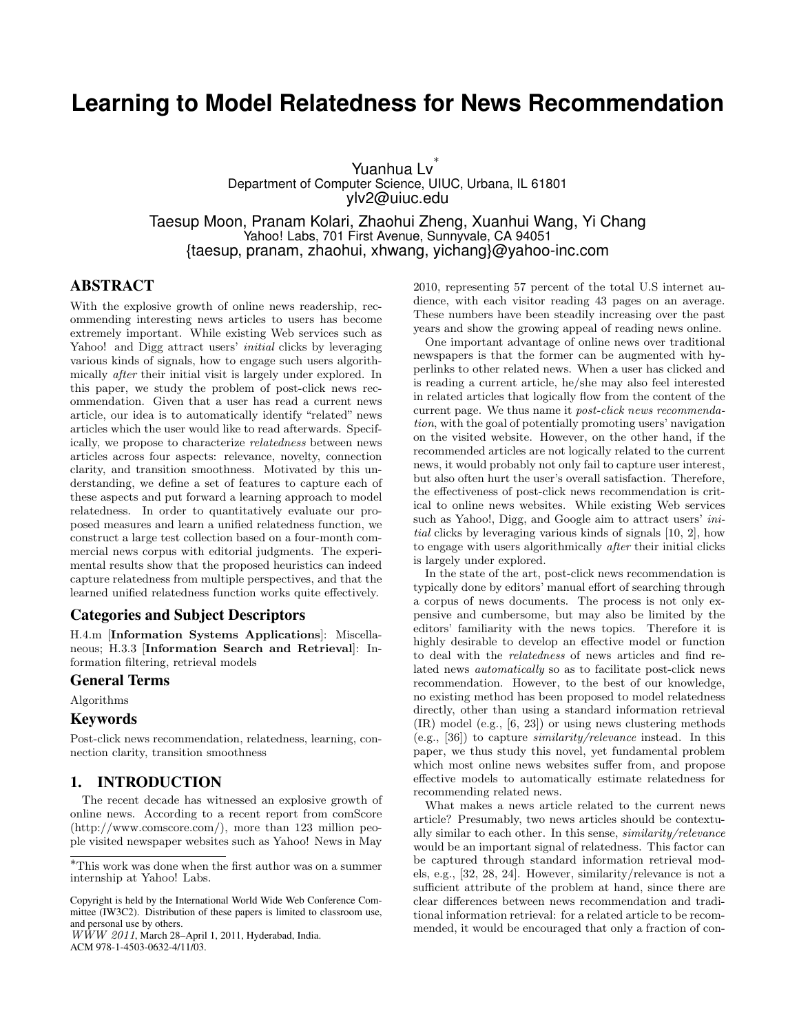# **Learning to Model Relatedness for News Recommendation**

Yuanhua Lv *∗* Department of Computer Science, UIUC, Urbana, IL 61801 ylv2@uiuc.edu

Taesup Moon, Pranam Kolari, Zhaohui Zheng, Xuanhui Wang, Yi Chang Yahoo! Labs, 701 First Avenue, Sunnyvale, CA 94051 {taesup, pranam, zhaohui, xhwang, yichang}@yahoo-inc.com

# ABSTRACT

With the explosive growth of online news readership, recommending interesting news articles to users has become extremely important. While existing Web services such as Yahoo! and Digg attract users' *initial* clicks by leveraging various kinds of signals, how to engage such users algorithmically *after* their initial visit is largely under explored. In this paper, we study the problem of post-click news recommendation. Given that a user has read a current news article, our idea is to automatically identify "related" news articles which the user would like to read afterwards. Specifically, we propose to characterize *relatedness* between news articles across four aspects: relevance, novelty, connection clarity, and transition smoothness. Motivated by this understanding, we define a set of features to capture each of these aspects and put forward a learning approach to model relatedness. In order to quantitatively evaluate our proposed measures and learn a unified relatedness function, we construct a large test collection based on a four-month commercial news corpus with editorial judgments. The experimental results show that the proposed heuristics can indeed capture relatedness from multiple perspectives, and that the learned unified relatedness function works quite effectively.

## Categories and Subject Descriptors

H.4.m [**Information Systems Applications**]: Miscellaneous; H.3.3 [**Information Search and Retrieval**]: Information filtering, retrieval models

## General Terms

Algorithms

#### Keywords

Post-click news recommendation, relatedness, learning, connection clarity, transition smoothness

# 1. INTRODUCTION

The recent decade has witnessed an explosive growth of online news. According to a recent report from comScore (http://www.comscore.com/), more than 123 million people visited newspaper websites such as Yahoo! News in May

Copyright is held by the International World Wide Web Conference Committee (IW3C2). Distribution of these papers is limited to classroom use, and personal use by others.

*WWW 2011*, March 28–April 1, 2011, Hyderabad, India. ACM 978-1-4503-0632-4/11/03.

2010, representing 57 percent of the total U.S internet audience, with each visitor reading 43 pages on an average. These numbers have been steadily increasing over the past years and show the growing appeal of reading news online.

One important advantage of online news over traditional newspapers is that the former can be augmented with hyperlinks to other related news. When a user has clicked and is reading a current article, he/she may also feel interested in related articles that logically flow from the content of the current page. We thus name it *post-click news recommendation*, with the goal of potentially promoting users' navigation on the visited website. However, on the other hand, if the recommended articles are not logically related to the current news, it would probably not only fail to capture user interest, but also often hurt the user's overall satisfaction. Therefore, the effectiveness of post-click news recommendation is critical to online news websites. While existing Web services such as Yahoo!, Digg, and Google aim to attract users' *initial* clicks by leveraging various kinds of signals [10, 2], how to engage with users algorithmically *after* their initial clicks is largely under explored.

In the state of the art, post-click news recommendation is typically done by editors' manual effort of searching through a corpus of news documents. The process is not only expensive and cumbersome, but may also be limited by the editors' familiarity with the news topics. Therefore it is highly desirable to develop an effective model or function to deal with the *relatedness* of news articles and find related news *automatically* so as to facilitate post-click news recommendation. However, to the best of our knowledge, no existing method has been proposed to model relatedness directly, other than using a standard information retrieval (IR) model (e.g., [6, 23]) or using news clustering methods (e.g., [36]) to capture *similarity/relevance* instead. In this paper, we thus study this novel, yet fundamental problem which most online news websites suffer from, and propose effective models to automatically estimate relatedness for recommending related news.

What makes a news article related to the current news article? Presumably, two news articles should be contextually similar to each other. In this sense, *similarity/relevance* would be an important signal of relatedness. This factor can be captured through standard information retrieval models, e.g., [32, 28, 24]. However, similarity/relevance is not a sufficient attribute of the problem at hand, since there are clear differences between news recommendation and traditional information retrieval: for a related article to be recommended, it would be encouraged that only a fraction of con-

*<sup>∗</sup>*This work was done when the first author was on a summer internship at Yahoo! Labs.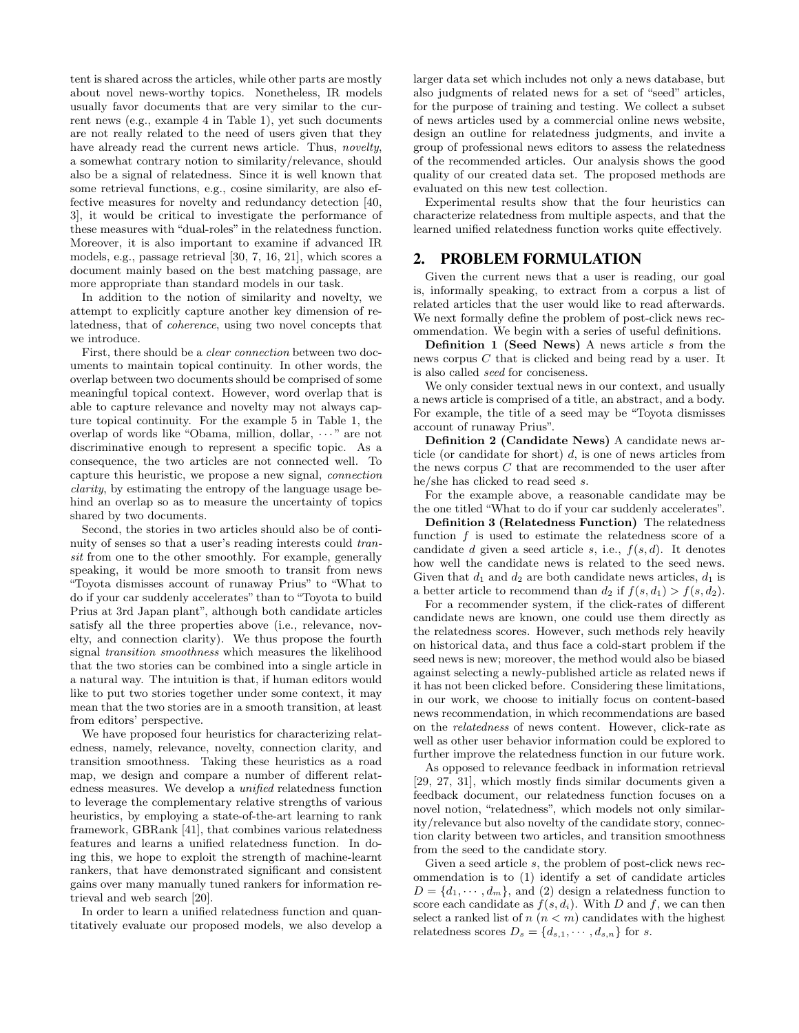tent is shared across the articles, while other parts are mostly about novel news-worthy topics. Nonetheless, IR models usually favor documents that are very similar to the current news (e.g., example 4 in Table 1), yet such documents are not really related to the need of users given that they have already read the current news article. Thus, *novelty*, a somewhat contrary notion to similarity/relevance, should also be a signal of relatedness. Since it is well known that some retrieval functions, e.g., cosine similarity, are also effective measures for novelty and redundancy detection [40, 3], it would be critical to investigate the performance of these measures with "dual-roles" in the relatedness function. Moreover, it is also important to examine if advanced IR models, e.g., passage retrieval [30, 7, 16, 21], which scores a document mainly based on the best matching passage, are more appropriate than standard models in our task.

In addition to the notion of similarity and novelty, we attempt to explicitly capture another key dimension of relatedness, that of *coherence*, using two novel concepts that we introduce.

First, there should be a *clear connection* between two documents to maintain topical continuity. In other words, the overlap between two documents should be comprised of some meaningful topical context. However, word overlap that is able to capture relevance and novelty may not always capture topical continuity. For the example 5 in Table 1, the overlap of words like "Obama, million, dollar, *· · ·* " are not discriminative enough to represent a specific topic. As a consequence, the two articles are not connected well. To capture this heuristic, we propose a new signal, *connection clarity*, by estimating the entropy of the language usage behind an overlap so as to measure the uncertainty of topics shared by two documents.

Second, the stories in two articles should also be of continuity of senses so that a user's reading interests could *transit* from one to the other smoothly. For example, generally speaking, it would be more smooth to transit from news "Toyota dismisses account of runaway Prius" to "What to do if your car suddenly accelerates" than to "Toyota to build Prius at 3rd Japan plant", although both candidate articles satisfy all the three properties above (i.e., relevance, novelty, and connection clarity). We thus propose the fourth signal *transition smoothness* which measures the likelihood that the two stories can be combined into a single article in a natural way. The intuition is that, if human editors would like to put two stories together under some context, it may mean that the two stories are in a smooth transition, at least from editors' perspective.

We have proposed four heuristics for characterizing relatedness, namely, relevance, novelty, connection clarity, and transition smoothness. Taking these heuristics as a road map, we design and compare a number of different relatedness measures. We develop a *unified* relatedness function to leverage the complementary relative strengths of various heuristics, by employing a state-of-the-art learning to rank framework, GBRank [41], that combines various relatedness features and learns a unified relatedness function. In doing this, we hope to exploit the strength of machine-learnt rankers, that have demonstrated significant and consistent gains over many manually tuned rankers for information retrieval and web search [20].

In order to learn a unified relatedness function and quantitatively evaluate our proposed models, we also develop a larger data set which includes not only a news database, but also judgments of related news for a set of "seed" articles, for the purpose of training and testing. We collect a subset of news articles used by a commercial online news website, design an outline for relatedness judgments, and invite a group of professional news editors to assess the relatedness of the recommended articles. Our analysis shows the good quality of our created data set. The proposed methods are evaluated on this new test collection.

Experimental results show that the four heuristics can characterize relatedness from multiple aspects, and that the learned unified relatedness function works quite effectively.

## 2. PROBLEM FORMULATION

Given the current news that a user is reading, our goal is, informally speaking, to extract from a corpus a list of related articles that the user would like to read afterwards. We next formally define the problem of post-click news recommendation. We begin with a series of useful definitions.

**Definition 1 (Seed News)** A news article *s* from the news corpus *C* that is clicked and being read by a user. It is also called *seed* for conciseness.

We only consider textual news in our context, and usually a news article is comprised of a title, an abstract, and a body. For example, the title of a seed may be "Toyota dismisses account of runaway Prius".

**Definition 2 (Candidate News)** A candidate news article (or candidate for short) *d*, is one of news articles from the news corpus *C* that are recommended to the user after he/she has clicked to read seed *s*.

For the example above, a reasonable candidate may be the one titled "What to do if your car suddenly accelerates".

**Definition 3 (Relatedness Function)** The relatedness function  $f$  is used to estimate the relatedness score of a candidate *d* given a seed article *s*, i.e.,  $f(s, d)$ . It denotes how well the candidate news is related to the seed news. Given that  $d_1$  and  $d_2$  are both candidate news articles,  $d_1$  is a better article to recommend than  $d_2$  if  $f(s, d_1) > f(s, d_2)$ .

For a recommender system, if the click-rates of different candidate news are known, one could use them directly as the relatedness scores. However, such methods rely heavily on historical data, and thus face a cold-start problem if the seed news is new; moreover, the method would also be biased against selecting a newly-published article as related news if it has not been clicked before. Considering these limitations, in our work, we choose to initially focus on content-based news recommendation, in which recommendations are based on the *relatedness* of news content. However, click-rate as well as other user behavior information could be explored to further improve the relatedness function in our future work.

As opposed to relevance feedback in information retrieval [29, 27, 31], which mostly finds similar documents given a feedback document, our relatedness function focuses on a novel notion, "relatedness", which models not only similarity/relevance but also novelty of the candidate story, connection clarity between two articles, and transition smoothness from the seed to the candidate story.

Given a seed article *s*, the problem of post-click news recommendation is to (1) identify a set of candidate articles  $D = \{d_1, \dots, d_m\}$ , and (2) design a relatedness function to score each candidate as  $f(s, d_i)$ . With *D* and *f*, we can then select a ranked list of  $n (n < m)$  candidates with the highest relatedness scores  $D_s = \{d_{s,1}, \dots, d_{s,n}\}\$ for *s*.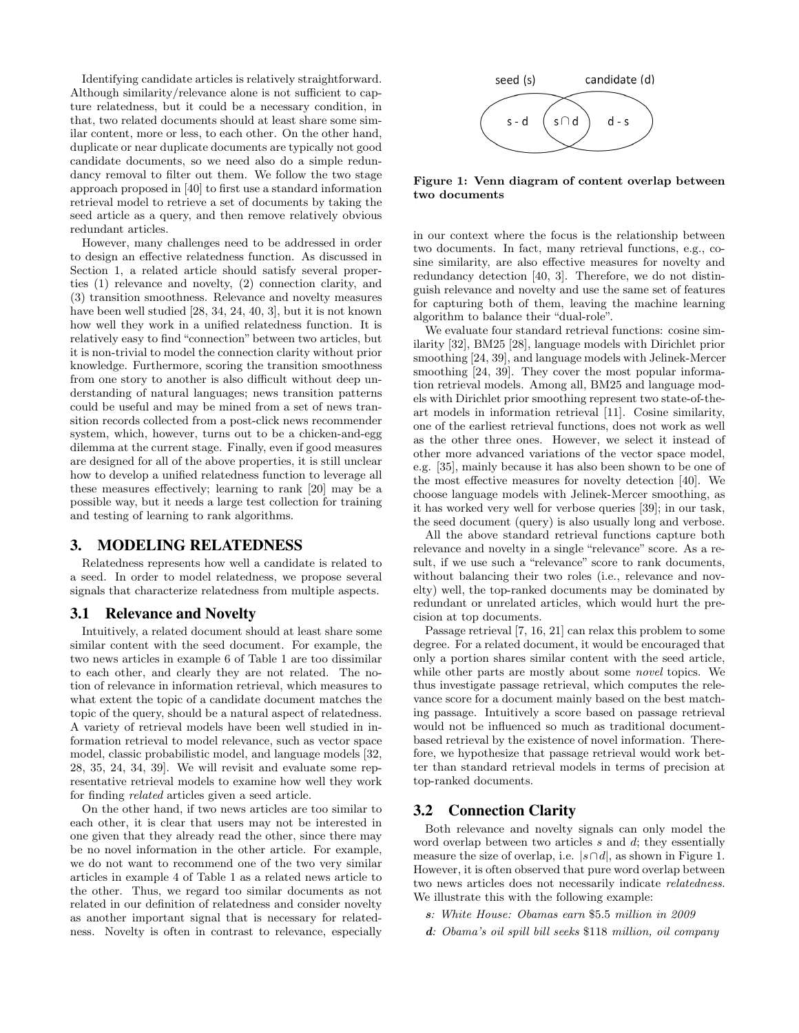Identifying candidate articles is relatively straightforward. Although similarity/relevance alone is not sufficient to capture relatedness, but it could be a necessary condition, in that, two related documents should at least share some similar content, more or less, to each other. On the other hand, duplicate or near duplicate documents are typically not good candidate documents, so we need also do a simple redundancy removal to filter out them. We follow the two stage approach proposed in [40] to first use a standard information retrieval model to retrieve a set of documents by taking the seed article as a query, and then remove relatively obvious redundant articles.

However, many challenges need to be addressed in order to design an effective relatedness function. As discussed in Section 1, a related article should satisfy several properties (1) relevance and novelty, (2) connection clarity, and (3) transition smoothness. Relevance and novelty measures have been well studied [28, 34, 24, 40, 3], but it is not known how well they work in a unified relatedness function. It is relatively easy to find "connection" between two articles, but it is non-trivial to model the connection clarity without prior knowledge. Furthermore, scoring the transition smoothness from one story to another is also difficult without deep understanding of natural languages; news transition patterns could be useful and may be mined from a set of news transition records collected from a post-click news recommender system, which, however, turns out to be a chicken-and-egg dilemma at the current stage. Finally, even if good measures are designed for all of the above properties, it is still unclear how to develop a unified relatedness function to leverage all these measures effectively; learning to rank [20] may be a possible way, but it needs a large test collection for training and testing of learning to rank algorithms.

#### 3. MODELING RELATEDNESS

Relatedness represents how well a candidate is related to a seed. In order to model relatedness, we propose several signals that characterize relatedness from multiple aspects.

#### 3.1 Relevance and Novelty

Intuitively, a related document should at least share some similar content with the seed document. For example, the two news articles in example 6 of Table 1 are too dissimilar to each other, and clearly they are not related. The notion of relevance in information retrieval, which measures to what extent the topic of a candidate document matches the topic of the query, should be a natural aspect of relatedness. A variety of retrieval models have been well studied in information retrieval to model relevance, such as vector space model, classic probabilistic model, and language models [32, 28, 35, 24, 34, 39]. We will revisit and evaluate some representative retrieval models to examine how well they work for finding *related* articles given a seed article.

On the other hand, if two news articles are too similar to each other, it is clear that users may not be interested in one given that they already read the other, since there may be no novel information in the other article. For example, we do not want to recommend one of the two very similar articles in example 4 of Table 1 as a related news article to the other. Thus, we regard too similar documents as not related in our definition of relatedness and consider novelty as another important signal that is necessary for relatedness. Novelty is often in contrast to relevance, especially



**Figure 1: Venn diagram of content overlap between two documents**

in our context where the focus is the relationship between two documents. In fact, many retrieval functions, e.g., cosine similarity, are also effective measures for novelty and redundancy detection [40, 3]. Therefore, we do not distinguish relevance and novelty and use the same set of features for capturing both of them, leaving the machine learning algorithm to balance their "dual-role".

We evaluate four standard retrieval functions: cosine similarity [32], BM25 [28], language models with Dirichlet prior smoothing [24, 39], and language models with Jelinek-Mercer smoothing [24, 39]. They cover the most popular information retrieval models. Among all, BM25 and language models with Dirichlet prior smoothing represent two state-of-theart models in information retrieval [11]. Cosine similarity, one of the earliest retrieval functions, does not work as well as the other three ones. However, we select it instead of other more advanced variations of the vector space model, e.g. [35], mainly because it has also been shown to be one of the most effective measures for novelty detection [40]. We choose language models with Jelinek-Mercer smoothing, as it has worked very well for verbose queries [39]; in our task, the seed document (query) is also usually long and verbose.

All the above standard retrieval functions capture both relevance and novelty in a single "relevance" score. As a result, if we use such a "relevance" score to rank documents, without balancing their two roles (i.e., relevance and novelty) well, the top-ranked documents may be dominated by redundant or unrelated articles, which would hurt the precision at top documents.

Passage retrieval [7, 16, 21] can relax this problem to some degree. For a related document, it would be encouraged that only a portion shares similar content with the seed article, while other parts are mostly about some *novel* topics. We thus investigate passage retrieval, which computes the relevance score for a document mainly based on the best matching passage. Intuitively a score based on passage retrieval would not be influenced so much as traditional documentbased retrieval by the existence of novel information. Therefore, we hypothesize that passage retrieval would work better than standard retrieval models in terms of precision at top-ranked documents.

## 3.2 Connection Clarity

Both relevance and novelty signals can only model the word overlap between two articles *s* and *d*; they essentially measure the size of overlap, i.e. *|s∩d|*, as shown in Figure 1. However, it is often observed that pure word overlap between two news articles does not necessarily indicate *relatedness*. We illustrate this with the following example:

- *s: White House: Obamas earn* \$5*.*5 *million in 2009*
- *d: Obama's oil spill bill seeks* \$118 *million, oil company*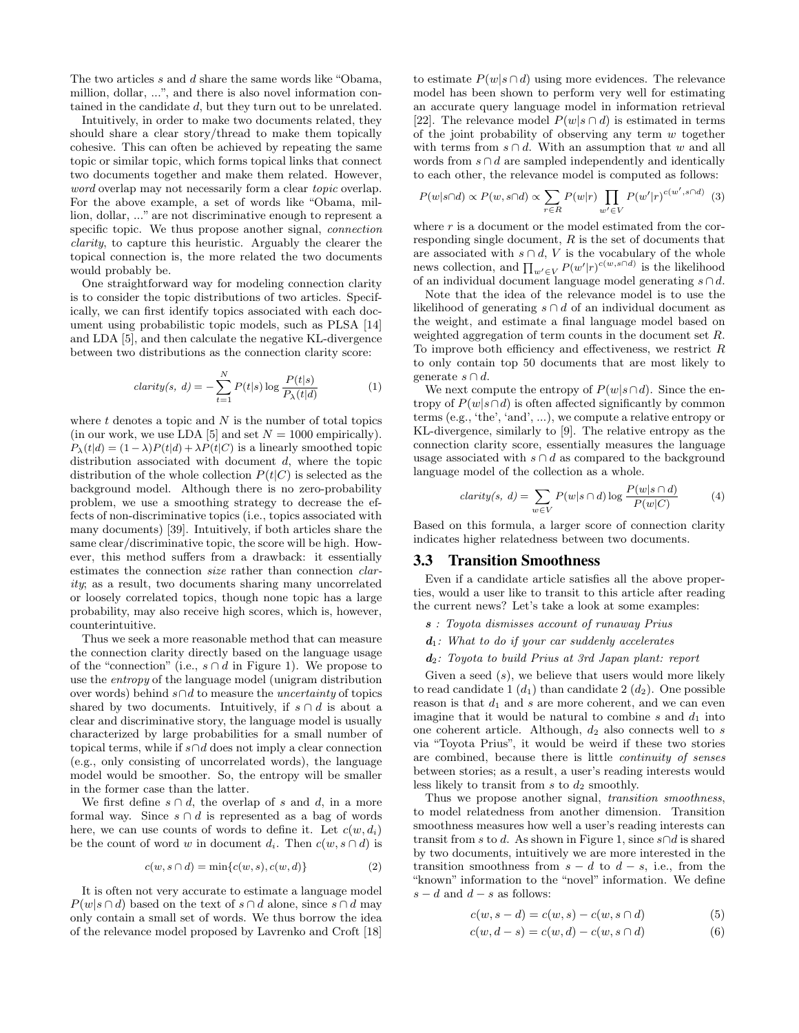The two articles *s* and *d* share the same words like "Obama, million, dollar, ...", and there is also novel information contained in the candidate *d*, but they turn out to be unrelated.

Intuitively, in order to make two documents related, they should share a clear story/thread to make them topically cohesive. This can often be achieved by repeating the same topic or similar topic, which forms topical links that connect two documents together and make them related. However, *word* overlap may not necessarily form a clear *topic* overlap. For the above example, a set of words like "Obama, million, dollar, ..." are not discriminative enough to represent a specific topic. We thus propose another signal, *connection clarity*, to capture this heuristic. Arguably the clearer the topical connection is, the more related the two documents would probably be.

One straightforward way for modeling connection clarity is to consider the topic distributions of two articles. Specifically, we can first identify topics associated with each document using probabilistic topic models, such as PLSA [14] and LDA [5], and then calculate the negative KL-divergence between two distributions as the connection clarity score:

$$
clarity(s, d) = -\sum_{t=1}^{N} P(t|s) \log \frac{P(t|s)}{P_{\lambda}(t|d)} \tag{1}
$$

where *t* denotes a topic and *N* is the number of total topics (in our work, we use LDA [5] and set  $N = 1000$  empirically).  $P_{\lambda}(t|d) = (1 - \lambda)P(t|d) + \lambda P(t|C)$  is a linearly smoothed topic distribution associated with document *d*, where the topic distribution of the whole collection  $P(t|C)$  is selected as the background model. Although there is no zero-probability problem, we use a smoothing strategy to decrease the effects of non-discriminative topics (i.e., topics associated with many documents) [39]. Intuitively, if both articles share the same clear/discriminative topic, the score will be high. However, this method suffers from a drawback: it essentially estimates the connection *size* rather than connection *clarity*; as a result, two documents sharing many uncorrelated or loosely correlated topics, though none topic has a large probability, may also receive high scores, which is, however, counterintuitive.

Thus we seek a more reasonable method that can measure the connection clarity directly based on the language usage of the "connection" (i.e., *s ∩ d* in Figure 1). We propose to use the *entropy* of the language model (unigram distribution over words) behind *s∩d* to measure the *uncertainty* of topics shared by two documents. Intuitively, if  $s \cap d$  is about a clear and discriminative story, the language model is usually characterized by large probabilities for a small number of topical terms, while if *s∩d* does not imply a clear connection (e.g., only consisting of uncorrelated words), the language model would be smoother. So, the entropy will be smaller in the former case than the latter.

We first define  $s \cap d$ , the overlap of  $s$  and  $d$ , in a more formal way. Since  $s \cap d$  is represented as a bag of words here, we can use counts of words to define it. Let  $c(w, d_i)$ be the count of word *w* in document  $d_i$ . Then  $c(w, s \cap d)$  is

$$
c(w, s \cap d) = \min\{c(w, s), c(w, d)\}\tag{2}
$$

It is often not very accurate to estimate a language model  $P(w|s \cap d)$  based on the text of  $s \cap d$  alone, since  $s \cap d$  may only contain a small set of words. We thus borrow the idea of the relevance model proposed by Lavrenko and Croft [18] to estimate  $P(w|s \cap d)$  using more evidences. The relevance model has been shown to perform very well for estimating an accurate query language model in information retrieval [22]. The relevance model  $P(w|s \cap d)$  is estimated in terms of the joint probability of observing any term *w* together with terms from  $s \cap d$ . With an assumption that *w* and all words from  $s \cap d$  are sampled independently and identically to each other, the relevance model is computed as follows:

$$
P(w|s \cap d) \propto P(w, s \cap d) \propto \sum_{r \in R} P(w|r) \prod_{w' \in V} P(w'|r)^{c(w', s \cap d)}
$$
 (3)

where r is a document or the model estimated from the corresponding single document, *R* is the set of documents that are associated with  $s \cap d$ , *V* is the vocabulary of the whole news collection, and  $\prod_{w' \in V} P(w'|r)^{c(w,s \cap d)}$  is the likelihood of an individual document language model generating *s ∩ d*.

Note that the idea of the relevance model is to use the likelihood of generating *s ∩ d* of an individual document as the weight, and estimate a final language model based on weighted aggregation of term counts in the document set *R*. To improve both efficiency and effectiveness, we restrict *R* to only contain top 50 documents that are most likely to generate  $s \cap d$ .

We next compute the entropy of  $P(w|s \cap d)$ . Since the entropy of  $P(w|s \cap d)$  is often affected significantly by common terms (e.g., 'the', 'and', ...), we compute a relative entropy or KL-divergence, similarly to [9]. The relative entropy as the connection clarity score, essentially measures the language usage associated with *s ∩ d* as compared to the background language model of the collection as a whole.

$$
clarity(s, d) = \sum_{w \in V} P(w|s \cap d) \log \frac{P(w|s \cap d)}{P(w|C)}
$$
(4)

Based on this formula, a larger score of connection clarity indicates higher relatedness between two documents.

#### 3.3 Transition Smoothness

Even if a candidate article satisfies all the above properties, would a user like to transit to this article after reading the current news? Let's take a look at some examples:

- *s : Toyota dismisses account of runaway Prius*
- *d*1*: What to do if your car suddenly accelerates*
- *d*2*: Toyota to build Prius at 3rd Japan plant: report*

Given a seed (*s*), we believe that users would more likely to read candidate 1  $(d_1)$  than candidate 2  $(d_2)$ . One possible reason is that  $d_1$  and  $s$  are more coherent, and we can even imagine that it would be natural to combine  $s$  and  $d_1$  into one coherent article. Although, *d*<sup>2</sup> also connects well to *s* via "Toyota Prius", it would be weird if these two stories are combined, because there is little *continuity of senses* between stories; as a result, a user's reading interests would less likely to transit from  $s$  to  $d_2$  smoothly.

Thus we propose another signal, *transition smoothness*, to model relatedness from another dimension. Transition smoothness measures how well a user's reading interests can transit from *s* to *d*. As shown in Figure 1, since *s∩d* is shared by two documents, intuitively we are more interested in the transition smoothness from  $s - d$  to  $d - s$ , i.e., from the "known" information to the "novel" information. We define *s − d* and *d − s* as follows:

$$
c(w, s-d) = c(w, s) - c(w, s \cap d)
$$
\n
$$
(5)
$$

$$
c(w, d - s) = c(w, d) - c(w, s \cap d)
$$
 (6)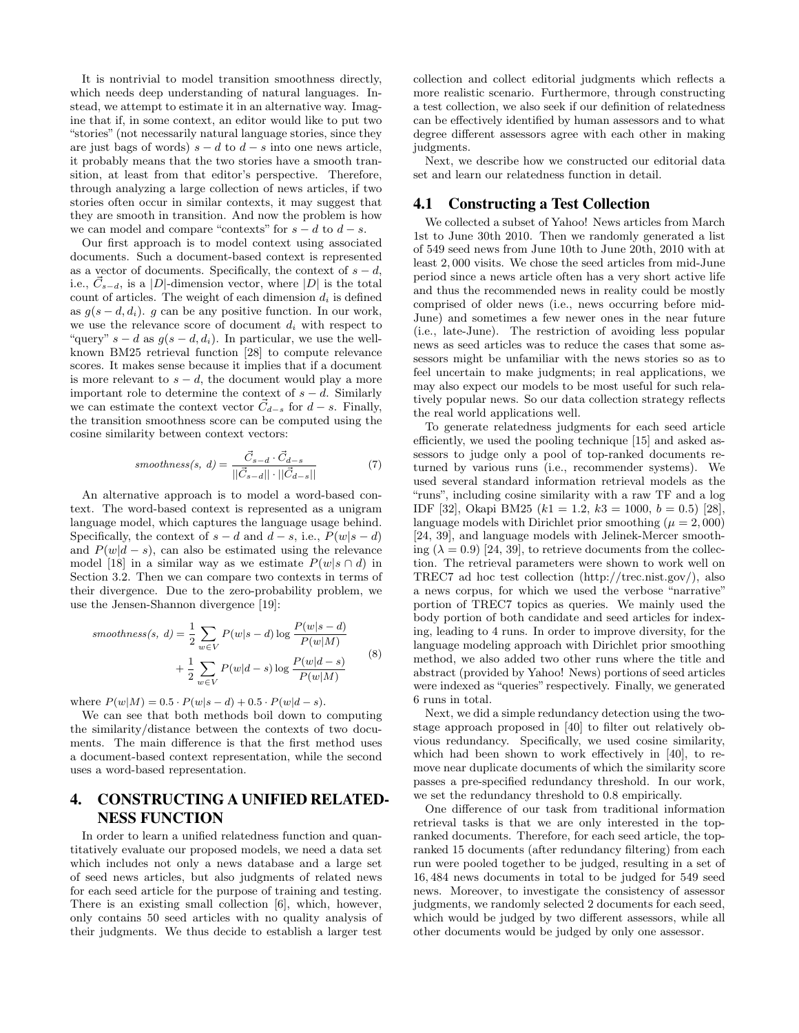It is nontrivial to model transition smoothness directly, which needs deep understanding of natural languages. Instead, we attempt to estimate it in an alternative way. Imagine that if, in some context, an editor would like to put two "stories" (not necessarily natural language stories, since they are just bags of words)  $s - d$  to  $d - s$  into one news article, it probably means that the two stories have a smooth transition, at least from that editor's perspective. Therefore, through analyzing a large collection of news articles, if two stories often occur in similar contexts, it may suggest that they are smooth in transition. And now the problem is how we can model and compare "contexts" for  $s - d$  to  $d - s$ .

Our first approach is to model context using associated documents. Such a document-based context is represented as a vector of documents. Specifically, the context of  $s - d$ , i.e.,  $C_{s-d}$ , is a *|D|*-dimension vector, where *|D|* is the total count of articles. The weight of each dimension  $d_i$  is defined as  $g(s - d, d_i)$ . *g* can be any positive function. In our work, we use the relevance score of document  $d_i$  with respect to "query"  $s - d$  as  $g(s - d, d_i)$ . In particular, we use the wellknown BM25 retrieval function [28] to compute relevance scores. It makes sense because it implies that if a document is more relevant to  $s - d$ , the document would play a more important role to determine the context of  $s - d$ . Similarly we can estimate the context vector  $\vec{C}_{d-s}$  for  $d-s$ . Finally, the transition smoothness score can be computed using the cosine similarity between context vectors:

$$
smoothness(s, d) = \frac{\vec{C}_{s-d} \cdot \vec{C}_{d-s}}{||\vec{C}_{s-d}|| \cdot ||\vec{C}_{d-s}||}
$$
(7)

An alternative approach is to model a word-based context. The word-based context is represented as a unigram language model, which captures the language usage behind. Specifically, the context of  $s - d$  and  $d - s$ , i.e.,  $P(w|s - d)$ and  $P(w|d - s)$ , can also be estimated using the relevance model [18] in a similar way as we estimate  $P(w|s \cap d)$  in Section 3.2. Then we can compare two contexts in terms of their divergence. Due to the zero-probability problem, we use the Jensen-Shannon divergence [19]:

smoothness(s, d) = 
$$
\frac{1}{2} \sum_{w \in V} P(w|s-d) \log \frac{P(w|s-d)}{P(w|M)}
$$

$$
+ \frac{1}{2} \sum_{w \in V} P(w|d-s) \log \frac{P(w|d-s)}{P(w|M)}
$$
(8)

where  $P(w|M) = 0.5 \cdot P(w|s-d) + 0.5 \cdot P(w|d-s)$ .

We can see that both methods boil down to computing the similarity/distance between the contexts of two documents. The main difference is that the first method uses a document-based context representation, while the second uses a word-based representation.

# 4. CONSTRUCTING A UNIFIED RELATED-NESS FUNCTION

In order to learn a unified relatedness function and quantitatively evaluate our proposed models, we need a data set which includes not only a news database and a large set of seed news articles, but also judgments of related news for each seed article for the purpose of training and testing. There is an existing small collection [6], which, however, only contains 50 seed articles with no quality analysis of their judgments. We thus decide to establish a larger test

collection and collect editorial judgments which reflects a more realistic scenario. Furthermore, through constructing a test collection, we also seek if our definition of relatedness can be effectively identified by human assessors and to what degree different assessors agree with each other in making judgments.

Next, we describe how we constructed our editorial data set and learn our relatedness function in detail.

## 4.1 Constructing a Test Collection

We collected a subset of Yahoo! News articles from March 1st to June 30th 2010. Then we randomly generated a list of 549 seed news from June 10th to June 20th, 2010 with at least 2*,* 000 visits. We chose the seed articles from mid-June period since a news article often has a very short active life and thus the recommended news in reality could be mostly comprised of older news (i.e., news occurring before mid-June) and sometimes a few newer ones in the near future (i.e., late-June). The restriction of avoiding less popular news as seed articles was to reduce the cases that some assessors might be unfamiliar with the news stories so as to feel uncertain to make judgments; in real applications, we may also expect our models to be most useful for such relatively popular news. So our data collection strategy reflects the real world applications well.

To generate relatedness judgments for each seed article efficiently, we used the pooling technique [15] and asked assessors to judge only a pool of top-ranked documents returned by various runs (i.e., recommender systems). We used several standard information retrieval models as the "runs", including cosine similarity with a raw TF and a log IDF [32], Okapi BM25 (*k*1 = 1*.*2, *k*3 = 1000, *b* = 0*.*5) [28], language models with Dirichlet prior smoothing ( $\mu = 2,000$ ) [24, 39], and language models with Jelinek-Mercer smoothing  $(\lambda = 0.9)$  [24, 39], to retrieve documents from the collection. The retrieval parameters were shown to work well on TREC7 ad hoc test collection (http://trec.nist.gov/), also a news corpus, for which we used the verbose "narrative" portion of TREC7 topics as queries. We mainly used the body portion of both candidate and seed articles for indexing, leading to 4 runs. In order to improve diversity, for the language modeling approach with Dirichlet prior smoothing method, we also added two other runs where the title and abstract (provided by Yahoo! News) portions of seed articles were indexed as "queries" respectively. Finally, we generated 6 runs in total.

Next, we did a simple redundancy detection using the twostage approach proposed in [40] to filter out relatively obvious redundancy. Specifically, we used cosine similarity, which had been shown to work effectively in [40], to remove near duplicate documents of which the similarity score passes a pre-specified redundancy threshold. In our work, we set the redundancy threshold to 0*.*8 empirically.

One difference of our task from traditional information retrieval tasks is that we are only interested in the topranked documents. Therefore, for each seed article, the topranked 15 documents (after redundancy filtering) from each run were pooled together to be judged, resulting in a set of 16*,* 484 news documents in total to be judged for 549 seed news. Moreover, to investigate the consistency of assessor judgments, we randomly selected 2 documents for each seed, which would be judged by two different assessors, while all other documents would be judged by only one assessor.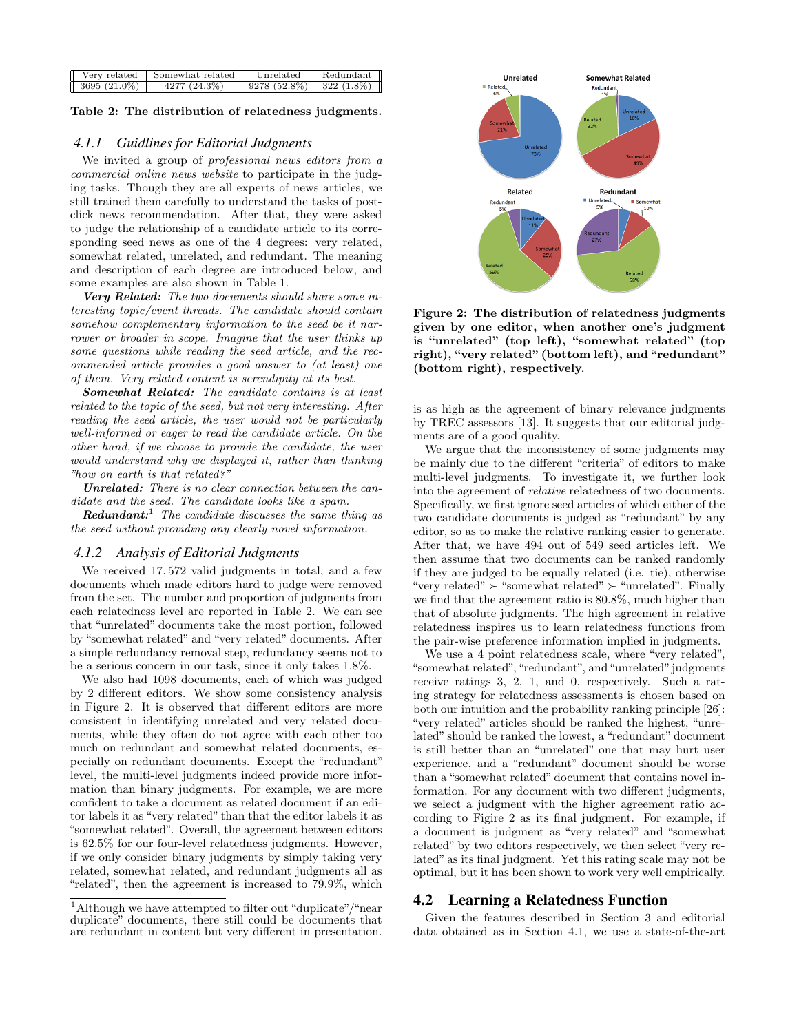| Very related    | Somewhat related | Unrelated                   | Redundant |
|-----------------|------------------|-----------------------------|-----------|
| $ 3695(21.0\%)$ | $4277(24.3\%)$   | $9278(52.8\%)$   322 (1.8%) |           |

#### **Table 2: The distribution of relatedness judgments.**

#### *4.1.1 Guidlines for Editorial Judgments*

We invited a group of *professional news editors from a commercial online news website* to participate in the judging tasks. Though they are all experts of news articles, we still trained them carefully to understand the tasks of postclick news recommendation. After that, they were asked to judge the relationship of a candidate article to its corresponding seed news as one of the 4 degrees: very related, somewhat related, unrelated, and redundant. The meaning and description of each degree are introduced below, and some examples are also shown in Table 1.

*Very Related: The two documents should share some interesting topic/event threads. The candidate should contain somehow complementary information to the seed be it narrower or broader in scope. Imagine that the user thinks up some questions while reading the seed article, and the recommended article provides a good answer to (at least) one of them. Very related content is serendipity at its best.*

*Somewhat Related: The candidate contains is at least related to the topic of the seed, but not very interesting. After reading the seed article, the user would not be particularly well-informed or eager to read the candidate article. On the other hand, if we choose to provide the candidate, the user would understand why we displayed it, rather than thinking "how on earth is that related?"*

*Unrelated: There is no clear connection between the candidate and the seed. The candidate looks like a spam.*

*Redundant:*<sup>1</sup> *The candidate discusses the same thing as the seed without providing any clearly novel information.*

#### *4.1.2 Analysis of Editorial Judgments*

We received 17*,* 572 valid judgments in total, and a few documents which made editors hard to judge were removed from the set. The number and proportion of judgments from each relatedness level are reported in Table 2. We can see that "unrelated" documents take the most portion, followed by "somewhat related" and "very related" documents. After a simple redundancy removal step, redundancy seems not to be a serious concern in our task, since it only takes 1*.*8%.

We also had 1098 documents, each of which was judged by 2 different editors. We show some consistency analysis in Figure 2. It is observed that different editors are more consistent in identifying unrelated and very related documents, while they often do not agree with each other too much on redundant and somewhat related documents, especially on redundant documents. Except the "redundant" level, the multi-level judgments indeed provide more information than binary judgments. For example, we are more confident to take a document as related document if an editor labels it as "very related" than that the editor labels it as "somewhat related". Overall, the agreement between editors is 62*.*5% for our four-level relatedness judgments. However, if we only consider binary judgments by simply taking very related, somewhat related, and redundant judgments all as "related", then the agreement is increased to 79*.*9%, which



**Figure 2: The distribution of relatedness judgments given by one editor, when another one's judgment is "unrelated" (top left), "somewhat related" (top right), "very related" (bottom left), and "redundant" (bottom right), respectively.**

is as high as the agreement of binary relevance judgments by TREC assessors [13]. It suggests that our editorial judgments are of a good quality.

We argue that the inconsistency of some judgments may be mainly due to the different "criteria" of editors to make multi-level judgments. To investigate it, we further look into the agreement of *relative* relatedness of two documents. Specifically, we first ignore seed articles of which either of the two candidate documents is judged as "redundant" by any editor, so as to make the relative ranking easier to generate. After that, we have 494 out of 549 seed articles left. We then assume that two documents can be ranked randomly if they are judged to be equally related (i.e. tie), otherwise "very related" *≻* "somewhat related" *≻* "unrelated". Finally we find that the agreement ratio is 80*.*8%, much higher than that of absolute judgments. The high agreement in relative relatedness inspires us to learn relatedness functions from the pair-wise preference information implied in judgments.

We use a 4 point relatedness scale, where "very related", "somewhat related", "redundant", and"unrelated" judgments receive ratings 3, 2, 1, and 0, respectively. Such a rating strategy for relatedness assessments is chosen based on both our intuition and the probability ranking principle [26]: "very related" articles should be ranked the highest, "unrelated" should be ranked the lowest, a "redundant" document is still better than an "unrelated" one that may hurt user experience, and a "redundant" document should be worse than a "somewhat related" document that contains novel information. For any document with two different judgments, we select a judgment with the higher agreement ratio according to Figire 2 as its final judgment. For example, if a document is judgment as "very related" and "somewhat related" by two editors respectively, we then select "very related" as its final judgment. Yet this rating scale may not be optimal, but it has been shown to work very well empirically.

#### 4.2 Learning a Relatedness Function

Given the features described in Section 3 and editorial data obtained as in Section 4.1, we use a state-of-the-art

<sup>1</sup>Although we have attempted to filter out "duplicate"/"near duplicate" documents, there still could be documents that are redundant in content but very different in presentation.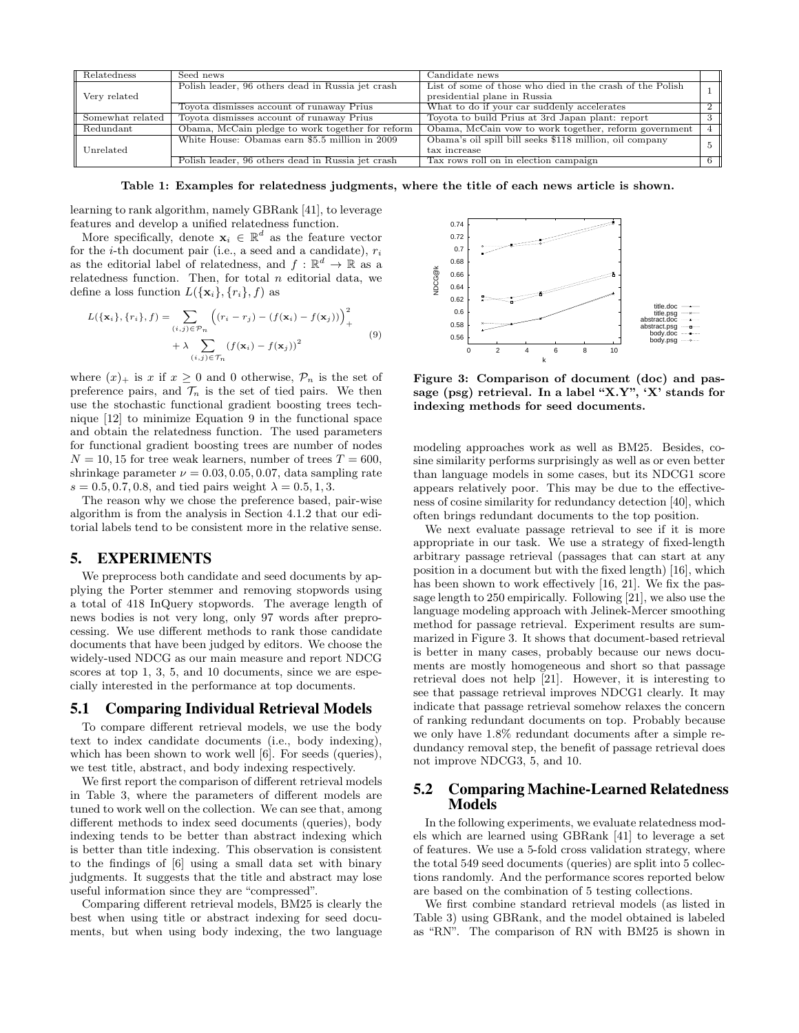| Relatedness      | Seed news                                         | Candidate news                                            |       |
|------------------|---------------------------------------------------|-----------------------------------------------------------|-------|
|                  | Polish leader, 96 others dead in Russia jet crash | List of some of those who died in the crash of the Polish |       |
| Very related     |                                                   | presidential plane in Russia                              |       |
|                  | Toyota dismisses account of runaway Prius         | What to do if your car suddenly accelerates               |       |
| Somewhat related | Toyota dismisses account of runaway Prius         | Toyota to build Prius at 3rd Japan plant: report          |       |
| Redundant        | Obama, McCain pledge to work together for reform  | Obama, McCain yow to work together, reform government     |       |
|                  | White House: Obamas earn \$5.5 million in 2009    | Obama's oil spill bill seeks \$118 million, oil company   | $5 -$ |
| Unrelated        |                                                   | tax increase                                              |       |
|                  | Polish leader, 96 others dead in Russia jet crash | Tax rows roll on in election campaign                     | 6.    |

**Table 1: Examples for relatedness judgments, where the title of each news article is shown.**

learning to rank algorithm, namely GBRank [41], to leverage features and develop a unified relatedness function.

More specifically, denote  $\mathbf{x}_i \in \mathbb{R}^d$  as the feature vector for the *i*-th document pair (i.e., a seed and a candidate), *r<sup>i</sup>* as the editorial label of relatedness, and  $f: \mathbb{R}^d \to \mathbb{R}$  as a relatedness function. Then, for total *n* editorial data, we define a loss function  $L(\{\mathbf{x}_i\}, \{r_i\}, f)$  as

$$
L(\{\mathbf{x}_i\}, \{r_i\}, f) = \sum_{(i,j) \in \mathcal{P}_n} \left( (r_i - r_j) - (f(\mathbf{x}_i) - f(\mathbf{x}_j)) \right)_+^2
$$
  
+  $\lambda \sum_{(i,j) \in \mathcal{T}_n} (f(\mathbf{x}_i) - f(\mathbf{x}_j))^2$  (9)

where  $(x)$ <sup>+</sup> is *x* if  $x \ge 0$  and 0 otherwise,  $\mathcal{P}_n$  is the set of preference pairs, and  $\mathcal{T}_n$  is the set of tied pairs. We then use the stochastic functional gradient boosting trees technique [12] to minimize Equation 9 in the functional space and obtain the relatedness function. The used parameters for functional gradient boosting trees are number of nodes  $N = 10, 15$  for tree weak learners, number of trees  $T = 600$ , shrinkage parameter  $\nu = 0.03, 0.05, 0.07$ , data sampling rate  $s = 0.5, 0.7, 0.8,$  and tied pairs weight  $\lambda = 0.5, 1, 3$ .

The reason why we chose the preference based, pair-wise algorithm is from the analysis in Section 4.1.2 that our editorial labels tend to be consistent more in the relative sense.

## 5. EXPERIMENTS

We preprocess both candidate and seed documents by applying the Porter stemmer and removing stopwords using a total of 418 InQuery stopwords. The average length of news bodies is not very long, only 97 words after preprocessing. We use different methods to rank those candidate documents that have been judged by editors. We choose the widely-used NDCG as our main measure and report NDCG scores at top 1, 3, 5, and 10 documents, since we are especially interested in the performance at top documents.

## 5.1 Comparing Individual Retrieval Models

To compare different retrieval models, we use the body text to index candidate documents (i.e., body indexing), which has been shown to work well [6]. For seeds (queries), we test title, abstract, and body indexing respectively.

We first report the comparison of different retrieval models in Table 3, where the parameters of different models are tuned to work well on the collection. We can see that, among different methods to index seed documents (queries), body indexing tends to be better than abstract indexing which is better than title indexing. This observation is consistent to the findings of [6] using a small data set with binary judgments. It suggests that the title and abstract may lose useful information since they are "compressed".

Comparing different retrieval models, BM25 is clearly the best when using title or abstract indexing for seed documents, but when using body indexing, the two language



**Figure 3: Comparison of document (doc) and passage (psg) retrieval. In a label "X.Y", 'X' stands for indexing methods for seed documents.**

modeling approaches work as well as BM25. Besides, cosine similarity performs surprisingly as well as or even better than language models in some cases, but its NDCG1 score appears relatively poor. This may be due to the effectiveness of cosine similarity for redundancy detection [40], which often brings redundant documents to the top position.

We next evaluate passage retrieval to see if it is more appropriate in our task. We use a strategy of fixed-length arbitrary passage retrieval (passages that can start at any position in a document but with the fixed length) [16], which has been shown to work effectively [16, 21]. We fix the passage length to 250 empirically. Following [21], we also use the language modeling approach with Jelinek-Mercer smoothing method for passage retrieval. Experiment results are summarized in Figure 3. It shows that document-based retrieval is better in many cases, probably because our news documents are mostly homogeneous and short so that passage retrieval does not help [21]. However, it is interesting to see that passage retrieval improves NDCG1 clearly. It may indicate that passage retrieval somehow relaxes the concern of ranking redundant documents on top. Probably because we only have 1*.*8% redundant documents after a simple redundancy removal step, the benefit of passage retrieval does not improve NDCG3, 5, and 10.

## 5.2 Comparing Machine-Learned Relatedness Models

In the following experiments, we evaluate relatedness models which are learned using GBRank [41] to leverage a set of features. We use a 5-fold cross validation strategy, where the total 549 seed documents (queries) are split into 5 collections randomly. And the performance scores reported below are based on the combination of 5 testing collections.

We first combine standard retrieval models (as listed in Table 3) using GBRank, and the model obtained is labeled as "RN". The comparison of RN with BM25 is shown in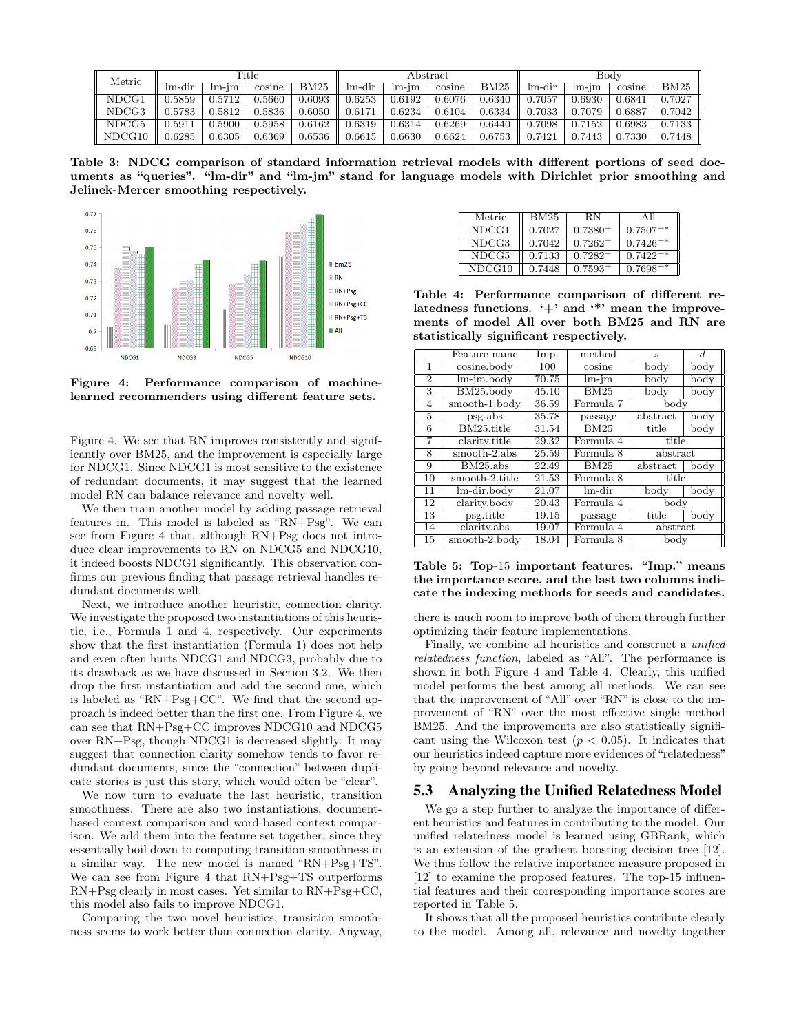| Metric | Title  |        |         | Abstract |        |        | Bodv    |        |            |        |         |        |        |
|--------|--------|--------|---------|----------|--------|--------|---------|--------|------------|--------|---------|--------|--------|
|        |        | lm-dır | $lm-1m$ | cosine   | BM25   | lm-dır | $lm-1m$ | cosine | BM25       | lm-dır | $lm-im$ | cosine | BM25   |
|        | NDCG1  | .5859  | 0.5712  | .5660    | 0.6093 | 0.6253 | 0.6192  | 0.6076 | 0.6340     | 0.7057 | 0.6930  | 0.684  | 0.7027 |
|        | NDCG3  | ມ.5783 | 0.5812  | 0.5836   | 0.6050 | 0.6171 | 0.6234  | 0.6104 | 0.6334     | 0.7033 | 0.7079  | 0.6887 | 0.7042 |
|        | NDCG5  | J.5911 | 0.5900  | 0.5958   | 0.6162 | .6319  | 0.6314  | 0.6269 | 0.6440     | 0.7098 | 0.7152  | 0.6983 | 0.7133 |
|        | NDCG10 | J.6285 | 0.6305  | 0.6369   | 0.6536 | 0.6615 | 0.6630  | 0.6624 | ${0.6753}$ | 0.7421 | 0.7443  | 0.7330 | 0.7448 |

**Table 3: NDCG comparison of standard information retrieval models with different portions of seed documents as "queries". "lm-dir" and "lm-jm" stand for language models with Dirichlet prior smoothing and Jelinek-Mercer smoothing respectively.**



**Figure 4: Performance comparison of machinelearned recommenders using different feature sets.**

Figure 4. We see that RN improves consistently and significantly over BM25, and the improvement is especially large for NDCG1. Since NDCG1 is most sensitive to the existence of redundant documents, it may suggest that the learned model RN can balance relevance and novelty well.

We then train another model by adding passage retrieval features in. This model is labeled as "RN+Psg". We can see from Figure 4 that, although RN+Psg does not introduce clear improvements to RN on NDCG5 and NDCG10, it indeed boosts NDCG1 significantly. This observation confirms our previous finding that passage retrieval handles redundant documents well.

Next, we introduce another heuristic, connection clarity. We investigate the proposed two instantiations of this heuristic, i.e., Formula 1 and 4, respectively. Our experiments show that the first instantiation (Formula 1) does not help and even often hurts NDCG1 and NDCG3, probably due to its drawback as we have discussed in Section 3.2. We then drop the first instantiation and add the second one, which is labeled as "RN+Psg+CC". We find that the second approach is indeed better than the first one. From Figure 4, we can see that RN+Psg+CC improves NDCG10 and NDCG5 over RN+Psg, though NDCG1 is decreased slightly. It may suggest that connection clarity somehow tends to favor redundant documents, since the "connection" between duplicate stories is just this story, which would often be "clear".

We now turn to evaluate the last heuristic, transition smoothness. There are also two instantiations, documentbased context comparison and word-based context comparison. We add them into the feature set together, since they essentially boil down to computing transition smoothness in a similar way. The new model is named "RN+Psg+TS". We can see from Figure 4 that RN+Psg+TS outperforms RN+Psg clearly in most cases. Yet similar to RN+Psg+CC, this model also fails to improve NDCG1.

Comparing the two novel heuristics, transition smoothness seems to work better than connection clarity. Anyway,

| Metric | BM25   | RN.        | All           |
|--------|--------|------------|---------------|
| NDCG1  | 0.7027 | $0.7380+$  | $0.7507^{+*}$ |
| NDCG3  | 0.7042 | $0.7262+$  | $0.7426^{+*}$ |
| NDCG5  | 0.7133 | $0.7282 +$ | $0.7422^{+*}$ |
| NDCG10 | 0.7448 | $0.7593+$  | $0.7698^{+*}$ |

**Table 4: Performance comparison of different re**latedness functions. '+' and '\*' mean the improve**ments of model All over both BM25 and RN are statistically significant respectively.**

|                | Feature name   | Imp.  | method      | $\mathcal{S}_{\mathcal{S}}$ | d.   |  |
|----------------|----------------|-------|-------------|-----------------------------|------|--|
| 1              | cosine.body    | 100   | cosine      | body                        | body |  |
| $\overline{2}$ | $lm$ -jm.body  | 70.75 | lm-jm       | body                        | body |  |
| 3              | BM25.body      | 45.10 | <b>BM25</b> | body                        | body |  |
| 4              | smooth-1.body  | 36.59 | Formula 7   |                             | body |  |
| 5              | psg-abs        | 35.78 | passage     | abstract                    | body |  |
| 6              | BM25.title     | 31.54 | <b>BM25</b> | title                       | body |  |
| 7              | clarity.title  | 29.32 | Formula 4   | title                       |      |  |
| 8              | $smooth-2.abs$ | 25.59 | Formula 8   | abstract                    |      |  |
| 9              | BM25.abs       | 22.49 | BM25        | abstract                    | body |  |
| 10             | smooth-2.title | 21.53 | Formula 8   | title                       |      |  |
| 11             | lm-dir.body    | 21.07 | lm-dir      | body                        | body |  |
| 12             | clarity.body   | 20.43 | Formula 4   | $_{\text{body}}$            |      |  |
| 13             | psg.title      |       | passage     | title                       | body |  |
| 14             | clarity.abs    | 19.07 | Formula 4   | abstract                    |      |  |
| 15             | smooth-2.body  | 18.04 | Formula 8   | bodv                        |      |  |

**Table 5: Top-**15 **important features. "Imp." means the importance score, and the last two columns indicate the indexing methods for seeds and candidates.**

there is much room to improve both of them through further optimizing their feature implementations.

Finally, we combine all heuristics and construct a *unified relatedness function*, labeled as "All". The performance is shown in both Figure 4 and Table 4. Clearly, this unified model performs the best among all methods. We can see that the improvement of "All" over "RN" is close to the improvement of "RN" over the most effective single method BM25. And the improvements are also statistically significant using the Wilcoxon test  $(p < 0.05)$ . It indicates that our heuristics indeed capture more evidences of "relatedness" by going beyond relevance and novelty.

### 5.3 Analyzing the Unified Relatedness Model

We go a step further to analyze the importance of different heuristics and features in contributing to the model. Our unified relatedness model is learned using GBRank, which is an extension of the gradient boosting decision tree [12]. We thus follow the relative importance measure proposed in [12] to examine the proposed features. The top-15 influential features and their corresponding importance scores are reported in Table 5.

It shows that all the proposed heuristics contribute clearly to the model. Among all, relevance and novelty together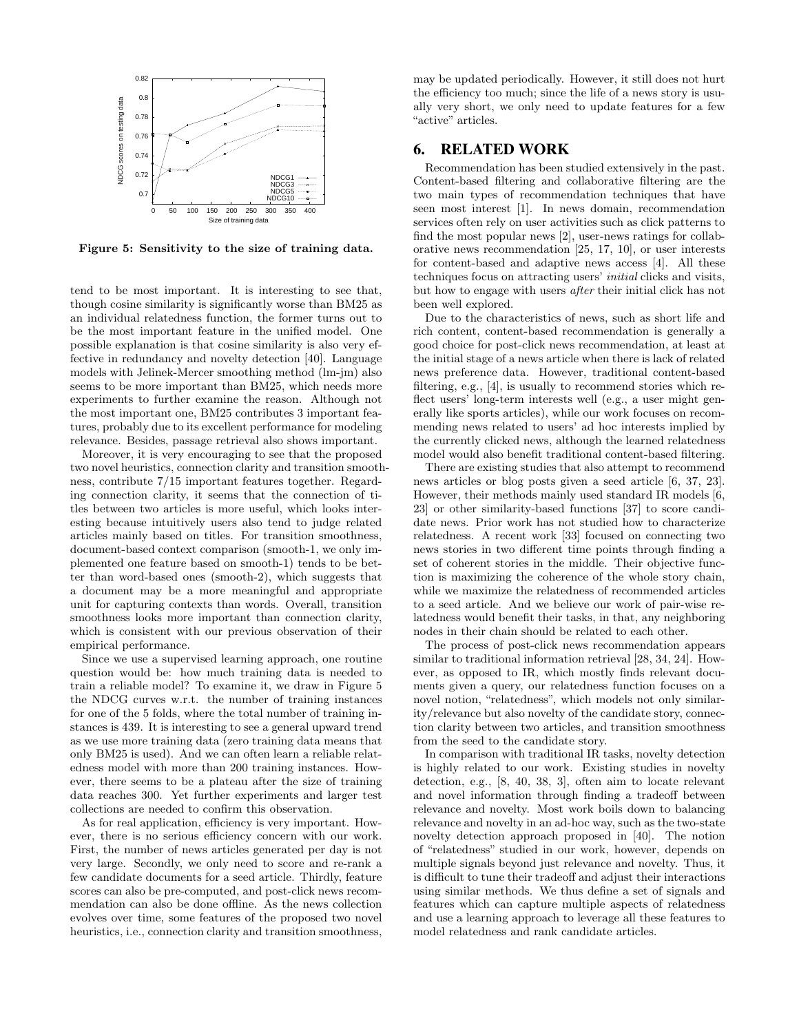

**Figure 5: Sensitivity to the size of training data.**

tend to be most important. It is interesting to see that, though cosine similarity is significantly worse than BM25 as an individual relatedness function, the former turns out to be the most important feature in the unified model. One possible explanation is that cosine similarity is also very effective in redundancy and novelty detection [40]. Language models with Jelinek-Mercer smoothing method (lm-jm) also seems to be more important than BM25, which needs more experiments to further examine the reason. Although not the most important one, BM25 contributes 3 important features, probably due to its excellent performance for modeling relevance. Besides, passage retrieval also shows important.

Moreover, it is very encouraging to see that the proposed two novel heuristics, connection clarity and transition smoothness, contribute 7*/*15 important features together. Regarding connection clarity, it seems that the connection of titles between two articles is more useful, which looks interesting because intuitively users also tend to judge related articles mainly based on titles. For transition smoothness, document-based context comparison (smooth-1, we only implemented one feature based on smooth-1) tends to be better than word-based ones (smooth-2), which suggests that a document may be a more meaningful and appropriate unit for capturing contexts than words. Overall, transition smoothness looks more important than connection clarity, which is consistent with our previous observation of their empirical performance.

Since we use a supervised learning approach, one routine question would be: how much training data is needed to train a reliable model? To examine it, we draw in Figure 5 the NDCG curves w.r.t. the number of training instances for one of the 5 folds, where the total number of training instances is 439. It is interesting to see a general upward trend as we use more training data (zero training data means that only BM25 is used). And we can often learn a reliable relatedness model with more than 200 training instances. However, there seems to be a plateau after the size of training data reaches 300. Yet further experiments and larger test collections are needed to confirm this observation.

As for real application, efficiency is very important. However, there is no serious efficiency concern with our work. First, the number of news articles generated per day is not very large. Secondly, we only need to score and re-rank a few candidate documents for a seed article. Thirdly, feature scores can also be pre-computed, and post-click news recommendation can also be done offline. As the news collection evolves over time, some features of the proposed two novel heuristics, i.e., connection clarity and transition smoothness, may be updated periodically. However, it still does not hurt the efficiency too much; since the life of a news story is usually very short, we only need to update features for a few "active" articles.

# 6. RELATED WORK

Recommendation has been studied extensively in the past. Content-based filtering and collaborative filtering are the two main types of recommendation techniques that have seen most interest [1]. In news domain, recommendation services often rely on user activities such as click patterns to find the most popular news [2], user-news ratings for collaborative news recommendation [25, 17, 10], or user interests for content-based and adaptive news access [4]. All these techniques focus on attracting users' *initial* clicks and visits, but how to engage with users *after* their initial click has not been well explored.

Due to the characteristics of news, such as short life and rich content, content-based recommendation is generally a good choice for post-click news recommendation, at least at the initial stage of a news article when there is lack of related news preference data. However, traditional content-based filtering, e.g., [4], is usually to recommend stories which reflect users' long-term interests well (e.g., a user might generally like sports articles), while our work focuses on recommending news related to users' ad hoc interests implied by the currently clicked news, although the learned relatedness model would also benefit traditional content-based filtering.

There are existing studies that also attempt to recommend news articles or blog posts given a seed article [6, 37, 23]. However, their methods mainly used standard IR models [6, 23] or other similarity-based functions [37] to score candidate news. Prior work has not studied how to characterize relatedness. A recent work [33] focused on connecting two news stories in two different time points through finding a set of coherent stories in the middle. Their objective function is maximizing the coherence of the whole story chain, while we maximize the relatedness of recommended articles to a seed article. And we believe our work of pair-wise relatedness would benefit their tasks, in that, any neighboring nodes in their chain should be related to each other.

The process of post-click news recommendation appears similar to traditional information retrieval [28, 34, 24]. However, as opposed to IR, which mostly finds relevant documents given a query, our relatedness function focuses on a novel notion, "relatedness", which models not only similarity/relevance but also novelty of the candidate story, connection clarity between two articles, and transition smoothness from the seed to the candidate story.

In comparison with traditional IR tasks, novelty detection is highly related to our work. Existing studies in novelty detection, e.g., [8, 40, 38, 3], often aim to locate relevant and novel information through finding a tradeoff between relevance and novelty. Most work boils down to balancing relevance and novelty in an ad-hoc way, such as the two-state novelty detection approach proposed in [40]. The notion of "relatedness" studied in our work, however, depends on multiple signals beyond just relevance and novelty. Thus, it is difficult to tune their tradeoff and adjust their interactions using similar methods. We thus define a set of signals and features which can capture multiple aspects of relatedness and use a learning approach to leverage all these features to model relatedness and rank candidate articles.